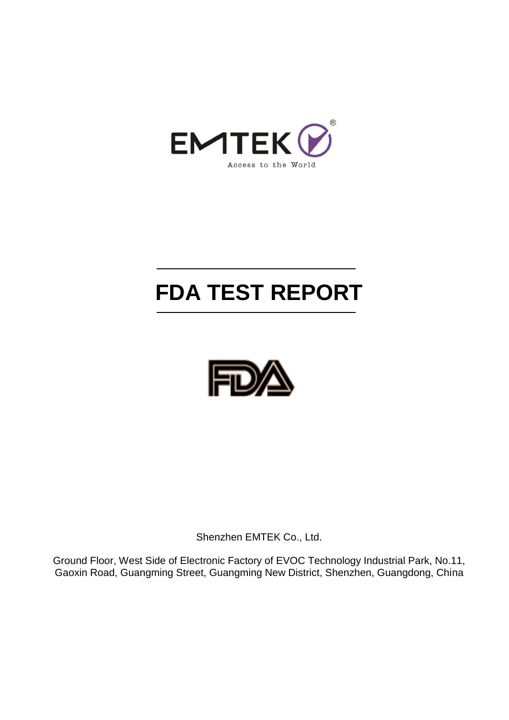

# **FDA TEST REPORT**



Shenzhen EMTEK Co., Ltd.

Ground Floor, West Side of Electronic Factory of EVOC Technology Industrial Park, No.11, Gaoxin Road, Guangming Street, Guangming New District, Shenzhen, Guangdong, China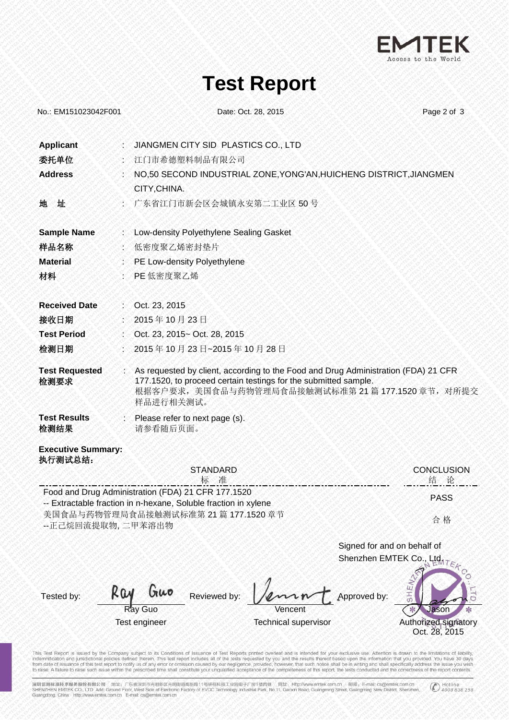

### **Test Report**

| No.: EM151023042F001                                       | Date: Oct. 28, 2015                                                                                                                                                                                                  | Page 2 of 3                                         |
|------------------------------------------------------------|----------------------------------------------------------------------------------------------------------------------------------------------------------------------------------------------------------------------|-----------------------------------------------------|
| <b>Applicant</b><br>委托单位<br><b>Address</b>                 | JIANGMEN CITY SID PLASTICS CO., LTD<br>江门市希德塑料制品有限公司<br>NO,50 SECOND INDUSTRIAL ZONE, YONG'AN, HUICHENG DISTRICT, JIANGMEN<br>CITY, CHINA.                                                                           |                                                     |
| 地<br>址                                                     | 广东省江门市新会区会城镇永安第二工业区 50号                                                                                                                                                                                              |                                                     |
| <b>Sample Name</b><br>样品名称<br><b>Material</b><br>材料        | : Low-density Polyethylene Sealing Gasket<br>低密度聚乙烯密封垫片<br>PE Low-density Polyethylene<br>PE 低密度聚乙烯                                                                                                                  |                                                     |
| <b>Received Date</b><br>接收日期<br><b>Test Period</b><br>检测日期 | : Oct. 23, 2015<br>2015年10月23日<br>Oct. 23, 2015~ Oct. 28, 2015<br>2015年10月23日~2015年10月28日                                                                                                                            |                                                     |
| <b>Test Requested</b><br>检测要求                              | : As requested by client, according to the Food and Drug Administration (FDA) 21 CFR<br>177.1520, to proceed certain testings for the submitted sample.<br>根据客户要求,美国食品与药物管理局食品接触测试标准第21篇177.1520章节,对所提交<br>样品进行相关测试。 |                                                     |
| <b>Test Results</b><br>检测结果                                | : Please refer to next page (s).<br>请参看随后页面。                                                                                                                                                                         |                                                     |
| <b>Executive Summary:</b><br>执行测试总结:<br>--正己烷回流提取物, 二甲苯溶出物 | <b>STANDARD</b><br>标 准<br>Food and Drug Administration (FDA) 21 CFR 177.1520<br>-- Extractable fraction in n-hexane, Soluble fraction in xylene<br>美国食品与药物管理局食品接触测试标准第21篇177.1520 章节                                 | <b>CONCLUSION</b><br>结 论<br><b>PASS</b><br>合格       |
| Tested by:                                                 | Signed for and on behalf of<br>Shenzhen EMTEK Co., Ltda TEA<br>HEN<br>Guo<br>KQN<br>Reviewed by:<br>pproved by:<br>Ray Guo<br>Vencent<br>Test engineer<br><b>Technical supervisor</b>                                | O<br>Jason<br>Authorized signatory<br>Oct. 28, 2015 |

This Test Report is issued by the Company subject to its Conditions of Issuance of Test Reports printed overleaf and is intended for your exclusive use. Aftention is drawn to the limitations of liability, indemnification a